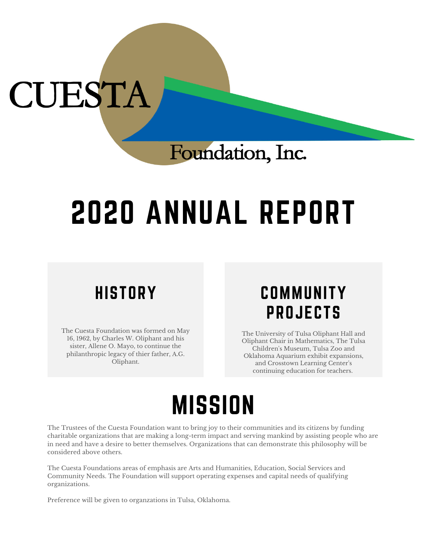# CUESTA

## Foundation, Inc.

# 2020 ANNUAL REPORT

### **HISTORY**

The Cuesta Foundation was formed on May 16, 1962, by Charles W. Oliphant and his sister, Allene O. Mayo, to continue the philanthropic legacy of thier father, A.G. Oliphant.

#### **COMMUNITY** PROJECTS

The University of Tulsa Oliphant Hall and Oliphant Chair in Mathematics, The Tulsa Children ' s Museum, Tulsa Zoo and Oklahoma Aquarium exhibit expansions, and Crosstown Learning Center 's continuing education for teachers.

## **MISSION**

The Trustees of the Cuesta Foundation want to bring joy to their communities and its citizens by funding charitable organizations that are making a long-term impact and serving mankind by assisting people who are in need and have a desire to better themselves. Organizations that can demonstrate this philosophy will be considered above others.

The Cuesta Foundations areas of emphasis are Arts and Humanities, Education, Social Services and Community Needs. The Foundation will support operating expenses and capital needs of qualifying organizations.

Preference will be given to organzations in Tulsa, Oklahoma.